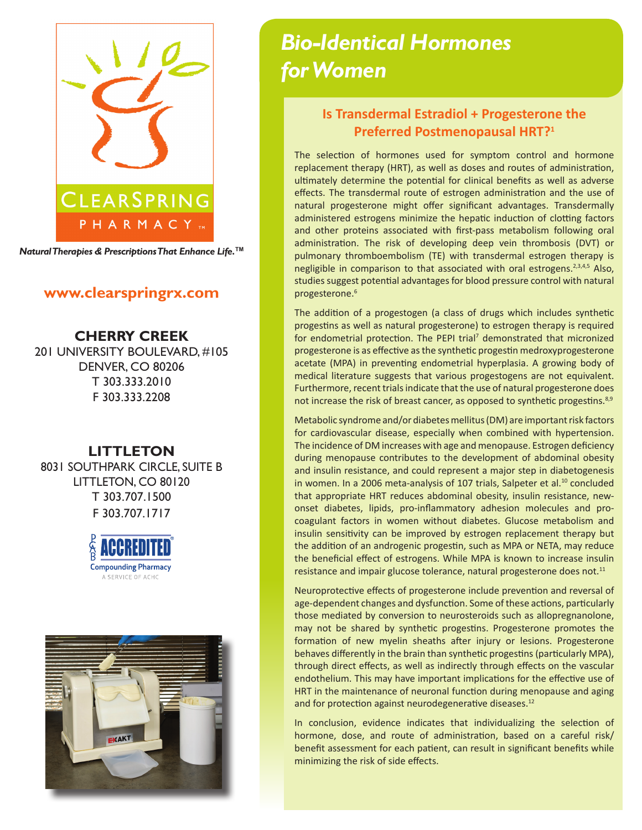

*Natural Therapies & Prescriptions That Enhance Life.***TM**

## **www.clearspringrx.com**

**CHERRY CREEK** 201 UNIVERSITY BOULEVARD, #105 DENVER, CO 80206 T 303.333.2010 F 303.333.2208

## **LITTLETON**

8031 SOUTHPARK CIRCLE, SUITE B LITTLETON, CO 80120 T 303.707.1500 F 303.707.1717





# *Bio-Identical Hormones for Women*

# **Is Transdermal Estradiol + Progesterone the Preferred Postmenopausal HRT?1**

The selection of hormones used for symptom control and hormone replacement therapy (HRT), as well as doses and routes of administration, ultimately determine the potential for clinical benefits as well as adverse effects. The transdermal route of estrogen administration and the use of natural progesterone might offer significant advantages. Transdermally administered estrogens minimize the hepatic induction of clotting factors and other proteins associated with first-pass metabolism following oral administration. The risk of developing deep vein thrombosis (DVT) or pulmonary thromboembolism (TE) with transdermal estrogen therapy is negligible in comparison to that associated with oral estrogens. $2,3,4,5$  Also, studies suggest potential advantages for blood pressure control with natural progesterone.<sup>6</sup>

The addition of a progestogen (a class of drugs which includes synthetic progestins as well as natural progesterone) to estrogen therapy is required for endometrial protection. The PEPI trial<sup>7</sup> demonstrated that micronized progesterone is as effective as the synthetic progestin medroxyprogesterone acetate (MPA) in preventing endometrial hyperplasia. A growing body of medical literature suggests that various progestogens are not equivalent. Furthermore, recent trials indicate that the use of natural progesterone does not increase the risk of breast cancer, as opposed to synthetic progestins.<sup>8,9</sup>

Metabolic syndrome and/or diabetes mellitus (DM) are important risk factors for cardiovascular disease, especially when combined with hypertension. The incidence of DM increases with age and menopause. Estrogen deficiency during menopause contributes to the development of abdominal obesity and insulin resistance, and could represent a major step in diabetogenesis in women. In a 2006 meta-analysis of 107 trials, Salpeter et al.<sup>10</sup> concluded that appropriate HRT reduces abdominal obesity, insulin resistance, newonset diabetes, lipids, pro-inflammatory adhesion molecules and procoagulant factors in women without diabetes. Glucose metabolism and insulin sensitivity can be improved by estrogen replacement therapy but the addition of an androgenic progestin, such as MPA or NETA, may reduce the beneficial effect of estrogens. While MPA is known to increase insulin resistance and impair glucose tolerance, natural progesterone does not.<sup>11</sup>

Neuroprotective effects of progesterone include prevention and reversal of age-dependent changes and dysfunction. Some of these actions, particularly those mediated by conversion to neurosteroids such as allopregnanolone, may not be shared by synthetic progestins. Progesterone promotes the formation of new myelin sheaths after injury or lesions. Progesterone behaves differently in the brain than synthetic progestins (particularly MPA), through direct effects, as well as indirectly through effects on the vascular endothelium. This may have important implications for the effective use of HRT in the maintenance of neuronal function during menopause and aging and for protection against neurodegenerative diseases.<sup>12</sup>

In conclusion, evidence indicates that individualizing the selection of hormone, dose, and route of administration, based on a careful risk/ benefit assessment for each patient, can result in significant benefits while minimizing the risk of side effects.